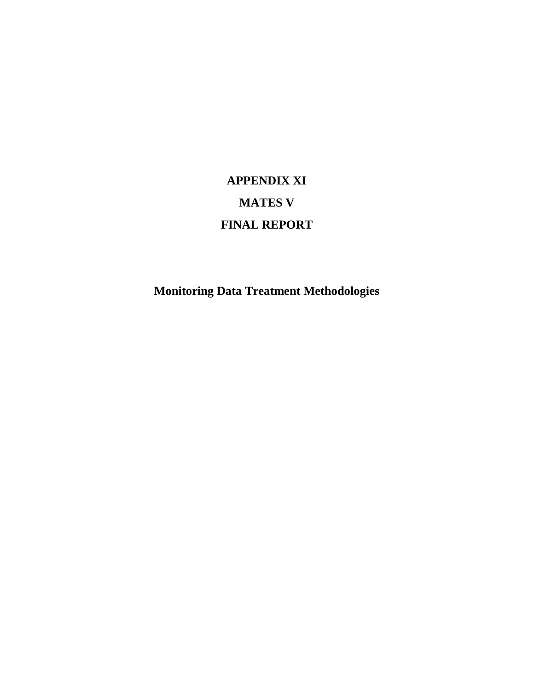# **APPENDIX XI MATES V FINAL REPORT**

**Monitoring Data Treatment Methodologies**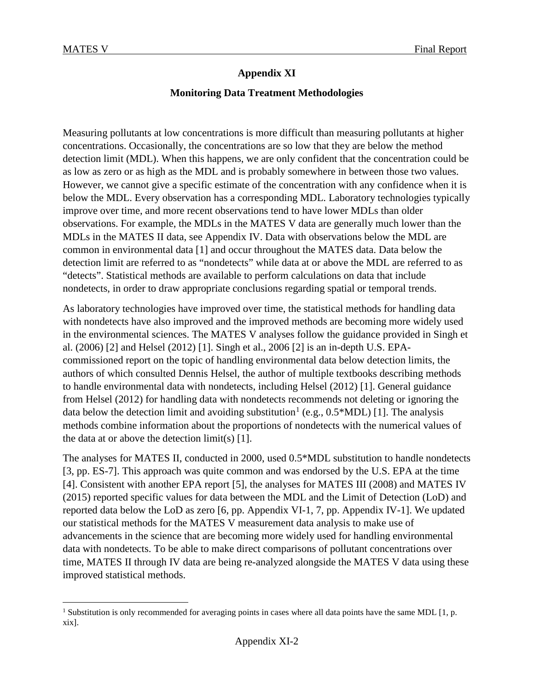l

### **Appendix XI**

#### **Monitoring Data Treatment Methodologies**

Measuring pollutants at low concentrations is more difficult than measuring pollutants at higher concentrations. Occasionally, the concentrations are so low that they are below the method detection limit (MDL). When this happens, we are only confident that the concentration could be as low as zero or as high as the MDL and is probably somewhere in between those two values. However, we cannot give a specific estimate of the concentration with any confidence when it is below the MDL. Every observation has a corresponding MDL. Laboratory technologies typically improve over time, and more recent observations tend to have lower MDLs than older observations. For example, the MDLs in the MATES V data are generally much lower than the MDLs in the MATES II data, see Appendix IV. Data with observations below the MDL are common in environmental data [1] and occur throughout the MATES data. Data below the detection limit are referred to as "nondetects" while data at or above the MDL are referred to as "detects". Statistical methods are available to perform calculations on data that include nondetects, in order to draw appropriate conclusions regarding spatial or temporal trends.

As laboratory technologies have improved over time, the statistical methods for handling data with nondetects have also improved and the improved methods are becoming more widely used in the environmental sciences. The MATES V analyses follow the guidance provided in Singh et al. (2006) [2] and Helsel (2012) [1]. Singh et al., 2006 [2] is an in-depth U.S. EPAcommissioned report on the topic of handling environmental data below detection limits, the authors of which consulted Dennis Helsel, the author of multiple textbooks describing methods to handle environmental data with nondetects, including Helsel (2012) [1]. General guidance from Helsel (2012) for handling data with nondetects recommends not deleting or ignoring the data below the detection limit and avoiding substitution<sup>[1](#page-1-0)</sup> (e.g.,  $0.5*MDL$ ) [1]. The analysis methods combine information about the proportions of nondetects with the numerical values of the data at or above the detection  $limit(s)$  [1].

The analyses for MATES II, conducted in 2000, used 0.5\*MDL substitution to handle nondetects [3, pp. ES-7]. This approach was quite common and was endorsed by the U.S. EPA at the time [4]. Consistent with another EPA report [5], the analyses for MATES III (2008) and MATES IV (2015) reported specific values for data between the MDL and the Limit of Detection (LoD) and reported data below the LoD as zero [6, pp. Appendix VI-1, 7, pp. Appendix IV-1]. We updated our statistical methods for the MATES V measurement data analysis to make use of advancements in the science that are becoming more widely used for handling environmental data with nondetects. To be able to make direct comparisons of pollutant concentrations over time, MATES II through IV data are being re-analyzed alongside the MATES V data using these improved statistical methods.

<span id="page-1-0"></span><sup>&</sup>lt;sup>1</sup> Substitution is only recommended for averaging points in cases where all data points have the same MDL [1, p. xix].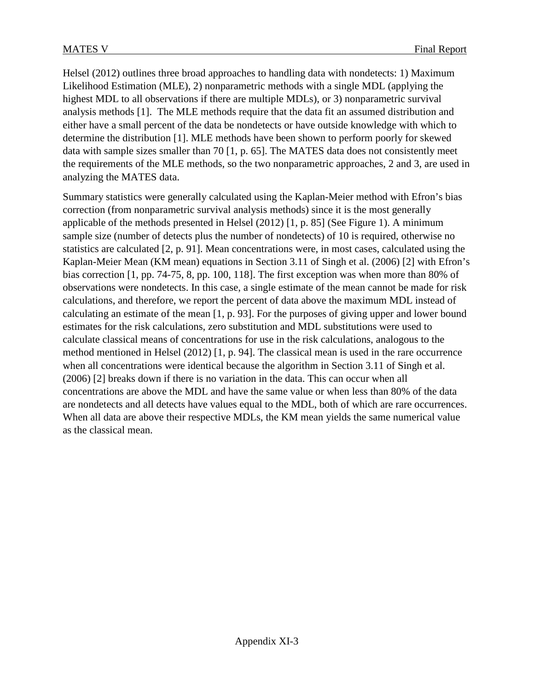Helsel (2012) outlines three broad approaches to handling data with nondetects: 1) Maximum Likelihood Estimation (MLE), 2) nonparametric methods with a single MDL (applying the highest MDL to all observations if there are multiple MDLs), or 3) nonparametric survival analysis methods [1]. The MLE methods require that the data fit an assumed distribution and either have a small percent of the data be nondetects or have outside knowledge with which to determine the distribution [1]. MLE methods have been shown to perform poorly for skewed data with sample sizes smaller than 70  $[1, p. 65]$ . The MATES data does not consistently meet the requirements of the MLE methods, so the two nonparametric approaches, 2 and 3, are used in analyzing the MATES data.

Summary statistics were generally calculated using the Kaplan-Meier method with Efron's bias correction (from nonparametric survival analysis methods) since it is the most generally applicable of the methods presented in Helsel (2012) [1, p. 85] (See Figure 1). A minimum sample size (number of detects plus the number of nondetects) of 10 is required, otherwise no statistics are calculated [2, p. 91]. Mean concentrations were, in most cases, calculated using the Kaplan-Meier Mean (KM mean) equations in Section 3.11 of Singh et al. (2006) [2] with Efron's bias correction [1, pp. 74-75, 8, pp. 100, 118]. The first exception was when more than 80% of observations were nondetects. In this case, a single estimate of the mean cannot be made for risk calculations, and therefore, we report the percent of data above the maximum MDL instead of calculating an estimate of the mean [1, p. 93]. For the purposes of giving upper and lower bound estimates for the risk calculations, zero substitution and MDL substitutions were used to calculate classical means of concentrations for use in the risk calculations, analogous to the method mentioned in Helsel (2012) [1, p. 94]. The classical mean is used in the rare occurrence when all concentrations were identical because the algorithm in Section 3.11 of Singh et al. (2006) [2] breaks down if there is no variation in the data. This can occur when all concentrations are above the MDL and have the same value or when less than 80% of the data are nondetects and all detects have values equal to the MDL, both of which are rare occurrences. When all data are above their respective MDLs, the KM mean yields the same numerical value as the classical mean.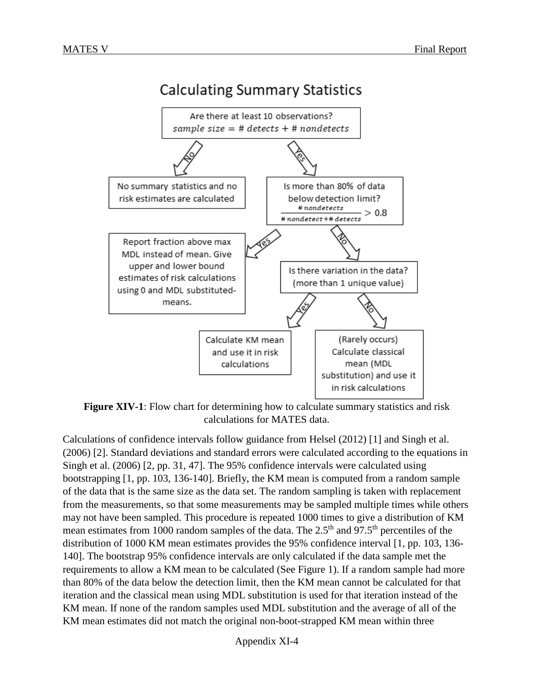# **Calculating Summary Statistics**



<span id="page-3-0"></span>**Figure XIV***-***1**: Flow chart for determining how to calculate summary statistics and risk calculations for MATES data.

Calculations of confidence intervals follow guidance from Helsel (2012) [1] and Singh et al. (2006) [2]. Standard deviations and standard errors were calculated according to the equations in Singh et al. (2006) [2, pp. 31, 47]. The 95% confidence intervals were calculated using bootstrapping [1, pp. 103, 136-140]. Briefly, the KM mean is computed from a random sample of the data that is the same size as the data set. The random sampling is taken with replacement from the measurements, so that some measurements may be sampled multiple times while others may not have been sampled. This procedure is repeated 1000 times to give a distribution of KM mean estimates from 1000 random samples of the data. The 2.5<sup>th</sup> and 97.5<sup>th</sup> percentiles of the distribution of 1000 KM mean estimates provides the 95% confidence interval [1, pp. 103, 136- 140]. The bootstrap 95% confidence intervals are only calculated if the data sample met the requirements to allow a KM mean to be calculated (See [Figure 1\)](#page-3-0). If a random sample had more than 80% of the data below the detection limit, then the KM mean cannot be calculated for that iteration and the classical mean using MDL substitution is used for that iteration instead of the KM mean. If none of the random samples used MDL substitution and the average of all of the KM mean estimates did not match the original non-boot-strapped KM mean within three

Appendix XI-4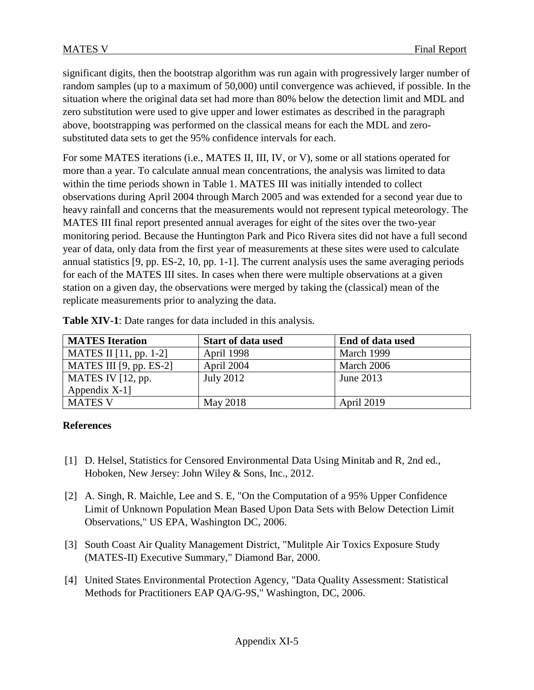significant digits, then the bootstrap algorithm was run again with progressively larger number of random samples (up to a maximum of 50,000) until convergence was achieved, if possible. In the situation where the original data set had more than 80% below the detection limit and MDL and zero substitution were used to give upper and lower estimates as described in the paragraph above, bootstrapping was performed on the classical means for each the MDL and zerosubstituted data sets to get the 95% confidence intervals for each.

For some MATES iterations (i.e., MATES II, III, IV, or V), some or all stations operated for more than a year. To calculate annual mean concentrations, the analysis was limited to data within the time periods shown in Table 1. MATES III was initially intended to collect observations during April 2004 through March 2005 and was extended for a second year due to heavy rainfall and concerns that the measurements would not represent typical meteorology. The MATES III final report presented annual averages for eight of the sites over the two-year monitoring period. Because the Huntington Park and Pico Rivera sites did not have a full second year of data, only data from the first year of measurements at these sites were used to calculate annual statistics [9, pp. ES-2, 10, pp. 1-1]. The current analysis uses the same averaging periods for each of the MATES III sites. In cases when there were multiple observations at a given station on a given day, the observations were merged by taking the (classical) mean of the replicate measurements prior to analyzing the data.

| <b>MATES</b> Iteration    | <b>Start of data used</b> | End of data used |
|---------------------------|---------------------------|------------------|
| MATES II $[11, pp. 1-2]$  | April 1998                | March 1999       |
| MATES III $[9, pp. ES-2]$ | April 2004                | March 2006       |
| MATES IV $[12, pp.$       | July 2012                 | June 2013        |
| Appendix $X-1$ ]          |                           |                  |
| <b>MATES V</b>            | May 2018                  | April 2019       |

**Table XIV-1**: Date ranges for data included in this analysis.

## **References**

- [1] D. Helsel, Statistics for Censored Environmental Data Using Minitab and R, 2nd ed., Hoboken, New Jersey: John Wiley & Sons, Inc., 2012.
- [2] A. Singh, R. Maichle, Lee and S. E, "On the Computation of a 95% Upper Confidence Limit of Unknown Population Mean Based Upon Data Sets with Below Detection Limit Observations," US EPA, Washington DC, 2006.
- [3] South Coast Air Quality Management District, "Mulitple Air Toxics Exposure Study (MATES-II) Executive Summary," Diamond Bar, 2000.
- [4] United States Environmental Protection Agency, "Data Quality Assessment: Statistical Methods for Practitioners EAP QA/G-9S," Washington, DC, 2006.